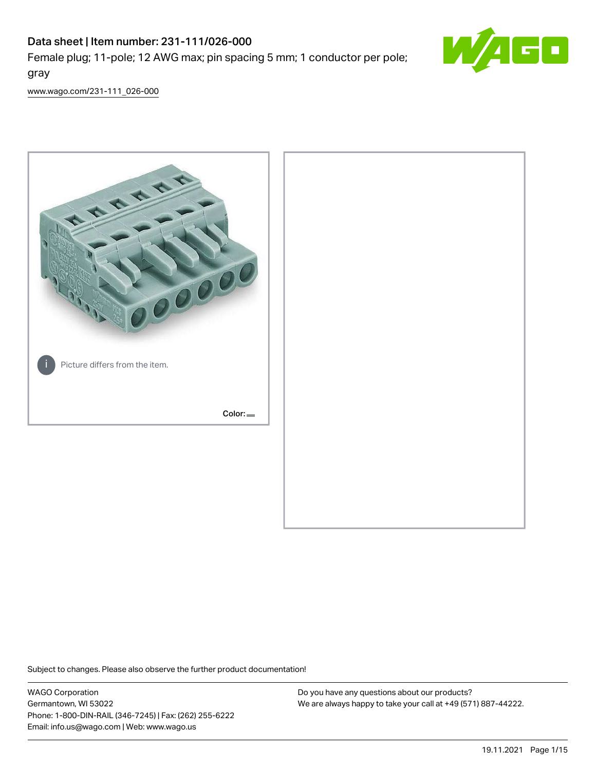Female plug; 11-pole; 12 AWG max; pin spacing 5 mm; 1 conductor per pole; gray



[www.wago.com/231-111\\_026-000](http://www.wago.com/231-111_026-000)



Subject to changes. Please also observe the further product documentation!

WAGO Corporation Germantown, WI 53022 Phone: 1-800-DIN-RAIL (346-7245) | Fax: (262) 255-6222 Email: info.us@wago.com | Web: www.wago.us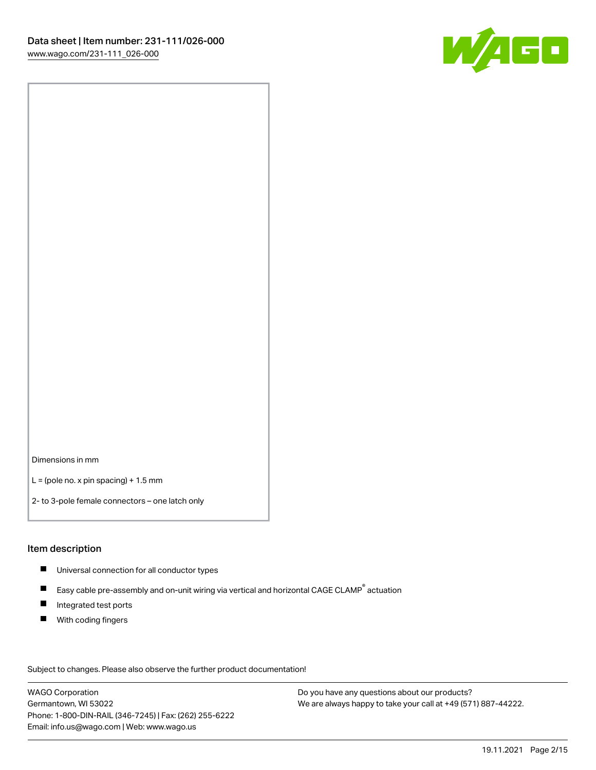

Dimensions in mm

 $L =$  (pole no. x pin spacing) + 1.5 mm

2- to 3-pole female connectors – one latch only

#### Item description

- **Universal connection for all conductor types**
- Easy cable pre-assembly and on-unit wiring via vertical and horizontal CAGE CLAMP<sup>®</sup> actuation  $\blacksquare$
- $\blacksquare$ Integrated test ports
- $\blacksquare$ With coding fingers

Subject to changes. Please also observe the further product documentation! Data

WAGO Corporation Germantown, WI 53022 Phone: 1-800-DIN-RAIL (346-7245) | Fax: (262) 255-6222 Email: info.us@wago.com | Web: www.wago.us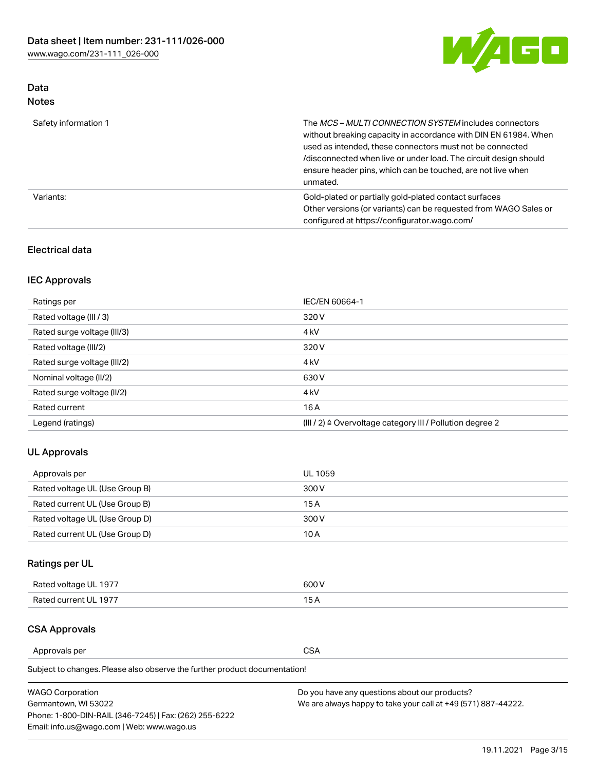

# Data Notes

| Safety information 1 | The MCS-MULTI CONNECTION SYSTEM includes connectors<br>without breaking capacity in accordance with DIN EN 61984. When<br>used as intended, these connectors must not be connected<br>/disconnected when live or under load. The circuit design should<br>ensure header pins, which can be touched, are not live when<br>unmated. |
|----------------------|-----------------------------------------------------------------------------------------------------------------------------------------------------------------------------------------------------------------------------------------------------------------------------------------------------------------------------------|
| Variants:            | Gold-plated or partially gold-plated contact surfaces<br>Other versions (or variants) can be requested from WAGO Sales or<br>configured at https://configurator.wago.com/                                                                                                                                                         |

## Electrical data

# IEC Approvals

| Ratings per                 | IEC/EN 60664-1                                                        |
|-----------------------------|-----------------------------------------------------------------------|
| Rated voltage (III / 3)     | 320 V                                                                 |
| Rated surge voltage (III/3) | 4 <sub>k</sub> V                                                      |
| Rated voltage (III/2)       | 320 V                                                                 |
| Rated surge voltage (III/2) | 4 <sub>k</sub> V                                                      |
| Nominal voltage (II/2)      | 630 V                                                                 |
| Rated surge voltage (II/2)  | 4 <sub>k</sub> V                                                      |
| Rated current               | 16A                                                                   |
| Legend (ratings)            | $(III / 2)$ $\triangle$ Overvoltage category III / Pollution degree 2 |

## UL Approvals

| Approvals per                  | UL 1059 |
|--------------------------------|---------|
| Rated voltage UL (Use Group B) | 300 V   |
| Rated current UL (Use Group B) | 15 A    |
| Rated voltage UL (Use Group D) | 300 V   |
| Rated current UL (Use Group D) | 10 A    |

# Ratings per UL

| Rated voltage UL 1977 | 600 V         |
|-----------------------|---------------|
| Rated current UL 1977 | $\sim$ $\sim$ |

## CSA Approvals

Approvals per CSA

Subject to changes. Please also observe the further product documentation!

| <b>WAGO Corporation</b>                                | Do you have any questions about our products?                 |
|--------------------------------------------------------|---------------------------------------------------------------|
| Germantown, WI 53022                                   | We are always happy to take your call at +49 (571) 887-44222. |
| Phone: 1-800-DIN-RAIL (346-7245)   Fax: (262) 255-6222 |                                                               |
| Email: info.us@wago.com   Web: www.wago.us             |                                                               |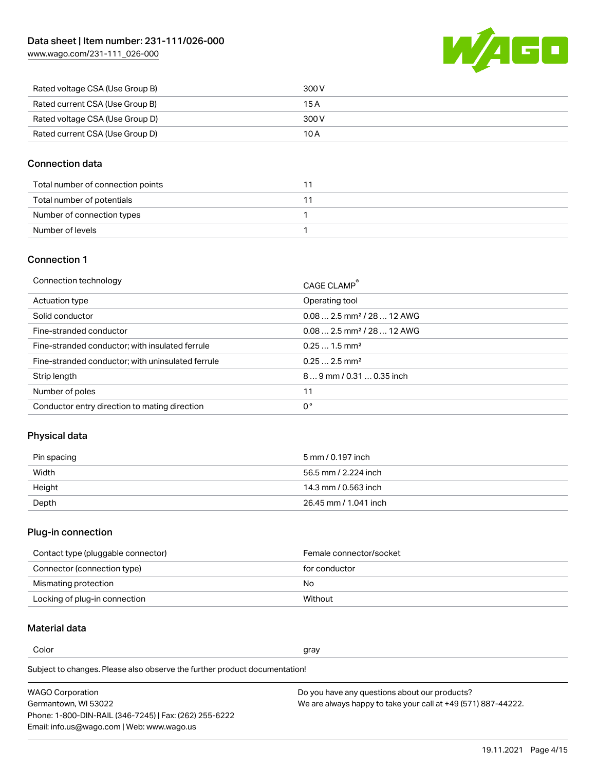**AGO** W

| Rated voltage CSA (Use Group B) | 300 V |
|---------------------------------|-------|
| Rated current CSA (Use Group B) | 15 A  |
| Rated voltage CSA (Use Group D) | 300 V |
| Rated current CSA (Use Group D) | 10 A  |

### Connection data

| Total number of connection points |  |
|-----------------------------------|--|
| Total number of potentials        |  |
| Number of connection types        |  |
| Number of levels                  |  |

#### Connection 1

| Connection technology                             | CAGE CLAMP <sup>®</sup>                |
|---------------------------------------------------|----------------------------------------|
| Actuation type                                    | Operating tool                         |
| Solid conductor                                   | $0.082.5$ mm <sup>2</sup> / 28  12 AWG |
| Fine-stranded conductor                           | $0.082.5$ mm <sup>2</sup> / 28  12 AWG |
| Fine-stranded conductor; with insulated ferrule   | $0.251.5$ mm <sup>2</sup>              |
| Fine-stranded conductor; with uninsulated ferrule | $0.252.5$ mm <sup>2</sup>              |
| Strip length                                      | 89 mm / 0.31  0.35 inch                |
| Number of poles                                   | 11                                     |
| Conductor entry direction to mating direction     | 0°                                     |
|                                                   |                                        |

## Physical data

| Pin spacing | 5 mm / 0.197 inch     |
|-------------|-----------------------|
| Width       | 56.5 mm / 2.224 inch  |
| Height      | 14.3 mm / 0.563 inch  |
| Depth       | 26.45 mm / 1.041 inch |

### Plug-in connection

| Contact type (pluggable connector) | Female connector/socket |
|------------------------------------|-------------------------|
| Connector (connection type)        | for conductor           |
| Mismating protection               | No                      |
| Locking of plug-in connection      | Without                 |

## Material data

Color and the color of the color of the color of the color of the color of the color of the color of the color

Subject to changes. Please also observe the further product documentation! Material group I

| <b>WAGO Corporation</b>                                | Do you have any questions about our products?                 |
|--------------------------------------------------------|---------------------------------------------------------------|
| Germantown, WI 53022                                   | We are always happy to take your call at +49 (571) 887-44222. |
| Phone: 1-800-DIN-RAIL (346-7245)   Fax: (262) 255-6222 |                                                               |
| Email: info.us@wago.com   Web: www.wago.us             |                                                               |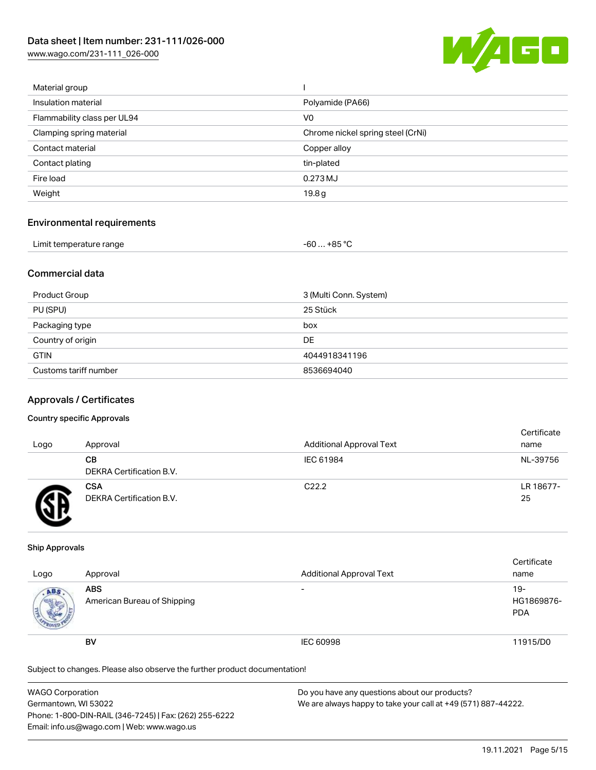[www.wago.com/231-111\\_026-000](http://www.wago.com/231-111_026-000)



| Material group              |                                   |
|-----------------------------|-----------------------------------|
| Insulation material         | Polyamide (PA66)                  |
| Flammability class per UL94 | V <sub>0</sub>                    |
| Clamping spring material    | Chrome nickel spring steel (CrNi) |
| Contact material            | Copper alloy                      |
| Contact plating             | tin-plated                        |
| Fire load                   | 0.273 MJ                          |
| Weight                      | 19.8 <sub>g</sub>                 |
|                             |                                   |

### Environmental requirements

| Limit temperature range | $-60+85 °C$ |
|-------------------------|-------------|
|-------------------------|-------------|

### Commercial data

| Product Group         | 3 (Multi Conn. System) |
|-----------------------|------------------------|
| PU (SPU)              | 25 Stück               |
| Packaging type        | box                    |
| Country of origin     | DE                     |
| <b>GTIN</b>           | 4044918341196          |
| Customs tariff number | 8536694040             |

#### Approvals / Certificates

#### Country specific Approvals

| Logo | Approval                               | <b>Additional Approval Text</b> | Certificate<br>name |
|------|----------------------------------------|---------------------------------|---------------------|
|      | CВ<br>DEKRA Certification B.V.         | IEC 61984                       | NL-39756            |
|      | <b>CSA</b><br>DEKRA Certification B.V. | C <sub>22.2</sub>               | LR 18677-<br>25     |

#### Ship Approvals

| Logo                | Approval                                  | <b>Additional Approval Text</b> | Certificate<br>name             |
|---------------------|-------------------------------------------|---------------------------------|---------------------------------|
| ABS<br><b>SALES</b> | <b>ABS</b><br>American Bureau of Shipping | $\overline{\phantom{0}}$        | 19-<br>HG1869876-<br><b>PDA</b> |
|                     | <b>BV</b>                                 | <b>IEC 60998</b>                | 11915/D0                        |

Subject to changes. Please also observe the further product documentation!

| <b>WAGO Corporation</b>                                | Do you have any questions about our products?                 |
|--------------------------------------------------------|---------------------------------------------------------------|
| Germantown, WI 53022                                   | We are always happy to take your call at +49 (571) 887-44222. |
| Phone: 1-800-DIN-RAIL (346-7245)   Fax: (262) 255-6222 |                                                               |
| Email: info.us@wago.com   Web: www.wago.us             |                                                               |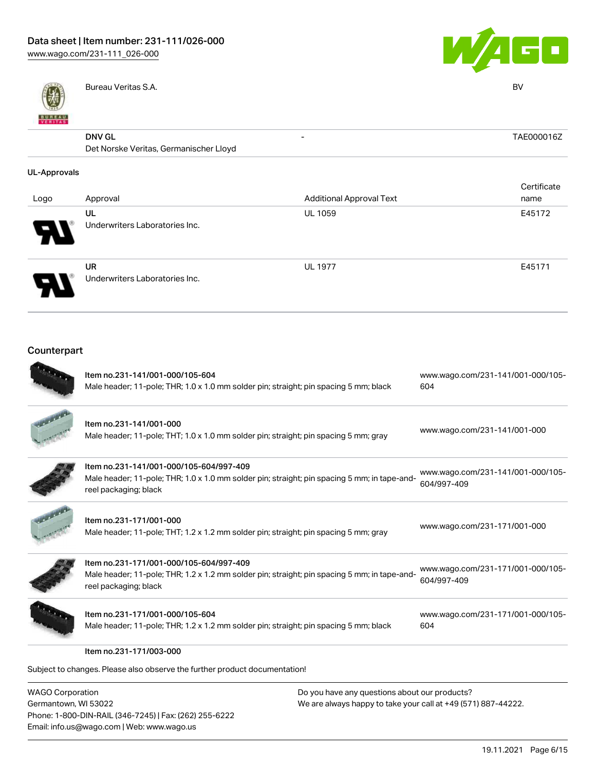



| <b>BUNEAU</b>       | Bureau Veritas S.A.                                     |                                 | <b>BV</b>   |
|---------------------|---------------------------------------------------------|---------------------------------|-------------|
|                     | <b>DNV GL</b><br>Det Norske Veritas, Germanischer Lloyd | $\overline{\phantom{a}}$        | TAE000016Z  |
| <b>UL-Approvals</b> |                                                         |                                 |             |
|                     |                                                         |                                 | Certificate |
| Logo                | Approval                                                | <b>Additional Approval Text</b> | name        |
|                     | UL                                                      | <b>UL 1059</b>                  | E45172      |
|                     | Underwriters Laboratories Inc.                          |                                 |             |
|                     |                                                         |                                 |             |
|                     | <b>UR</b>                                               | <b>UL 1977</b>                  | E45171      |
|                     | Underwriters Laboratories Inc.                          |                                 |             |
|                     |                                                         |                                 |             |

# Counterpart

| Item no.231-141/001-000/105-604                                                                                       | www.wago.com/231-141/001-000/105- |
|-----------------------------------------------------------------------------------------------------------------------|-----------------------------------|
| Male header; 11-pole; THR; 1.0 x 1.0 mm solder pin; straight; pin spacing 5 mm; black                                 | 604                               |
| Item no.231-141/001-000                                                                                               |                                   |
| Male header; 11-pole; THT; 1.0 x 1.0 mm solder pin; straight; pin spacing 5 mm; gray                                  | www.wago.com/231-141/001-000      |
| Item no.231-141/001-000/105-604/997-409                                                                               | www.wago.com/231-141/001-000/105- |
| Male header; 11-pole; THR; 1.0 x 1.0 mm solder pin; straight; pin spacing 5 mm; in tape-and-<br>reel packaging; black | 604/997-409                       |
| Item no.231-171/001-000                                                                                               |                                   |
| Male header; 11-pole; THT; 1.2 x 1.2 mm solder pin; straight; pin spacing 5 mm; gray                                  | www.wago.com/231-171/001-000      |
| Item no.231-171/001-000/105-604/997-409                                                                               | www.wago.com/231-171/001-000/105- |
| Male header; 11-pole; THR; 1.2 x 1.2 mm solder pin; straight; pin spacing 5 mm; in tape-and-<br>reel packaging; black | 604/997-409                       |
| Item no.231-171/001-000/105-604                                                                                       | www.wago.com/231-171/001-000/105- |
| Male header; 11-pole; THR; 1.2 x 1.2 mm solder pin; straight; pin spacing 5 mm; black                                 | 604                               |
| Item no.231-171/003-000                                                                                               |                                   |
| Subject to changes. Please also observe the further product documentation!                                            |                                   |

| <b>WAGO Corporation</b>                                |
|--------------------------------------------------------|
| Germantown, WI 53022                                   |
| Phone: 1-800-DIN-RAIL (346-7245)   Fax: (262) 255-6222 |
| Email: info.us@wago.com   Web: www.wago.us             |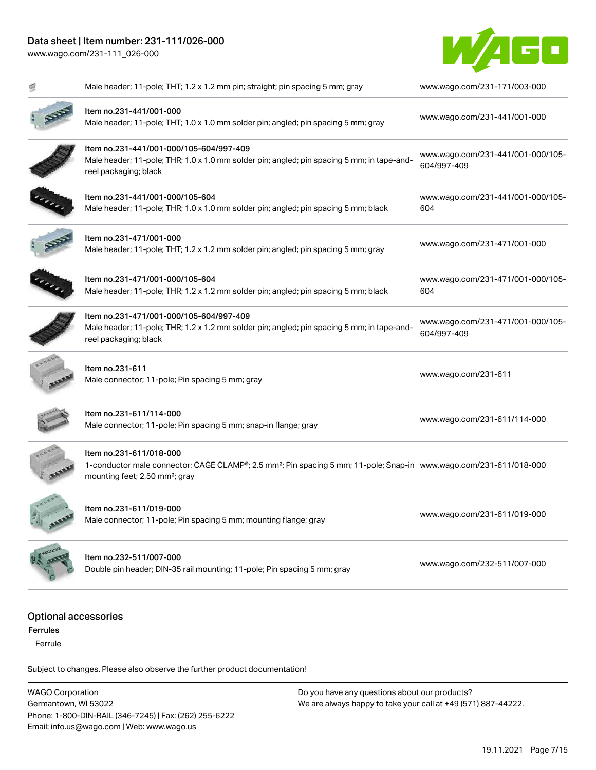

|                             | Male header; 11-pole; THT; 1.2 x 1.2 mm pin; straight; pin spacing 5 mm; gray                                                                                                                           | www.wago.com/231-171/003-000                     |
|-----------------------------|---------------------------------------------------------------------------------------------------------------------------------------------------------------------------------------------------------|--------------------------------------------------|
|                             | Item no.231-441/001-000<br>Male header; 11-pole; THT; 1.0 x 1.0 mm solder pin; angled; pin spacing 5 mm; gray                                                                                           | www.wago.com/231-441/001-000                     |
|                             | Item no.231-441/001-000/105-604/997-409<br>Male header; 11-pole; THR; 1.0 x 1.0 mm solder pin; angled; pin spacing 5 mm; in tape-and-<br>reel packaging; black                                          | www.wago.com/231-441/001-000/105-<br>604/997-409 |
|                             | ltem no.231-441/001-000/105-604<br>Male header; 11-pole; THR; 1.0 x 1.0 mm solder pin; angled; pin spacing 5 mm; black                                                                                  | www.wago.com/231-441/001-000/105-<br>604         |
|                             | Item no.231-471/001-000<br>Male header; 11-pole; THT; 1.2 x 1.2 mm solder pin; angled; pin spacing 5 mm; gray                                                                                           | www.wago.com/231-471/001-000                     |
|                             | Item no.231-471/001-000/105-604<br>Male header; 11-pole; THR; 1.2 x 1.2 mm solder pin; angled; pin spacing 5 mm; black                                                                                  | www.wago.com/231-471/001-000/105-<br>604         |
|                             | Item no.231-471/001-000/105-604/997-409<br>Male header; 11-pole; THR; 1.2 x 1.2 mm solder pin; angled; pin spacing 5 mm; in tape-and-<br>reel packaging; black                                          | www.wago.com/231-471/001-000/105-<br>604/997-409 |
|                             | ltem no.231-611<br>Male connector; 11-pole; Pin spacing 5 mm; gray                                                                                                                                      | www.wago.com/231-611                             |
|                             | ltem no.231-611/114-000<br>Male connector; 11-pole; Pin spacing 5 mm; snap-in flange; gray                                                                                                              | www.wago.com/231-611/114-000                     |
|                             | Item no.231-611/018-000<br>1-conductor male connector; CAGE CLAMP®; 2.5 mm <sup>2</sup> ; Pin spacing 5 mm; 11-pole; Snap-in www.wago.com/231-611/018-000<br>mounting feet; 2,50 mm <sup>2</sup> ; gray |                                                  |
|                             | ltem no.231-611/019-000<br>Male connector; 11-pole; Pin spacing 5 mm; mounting flange; gray                                                                                                             | www.wago.com/231-611/019-000                     |
|                             | Item no.232-511/007-000<br>Double pin header; DIN-35 rail mounting; 11-pole; Pin spacing 5 mm; gray                                                                                                     | www.wago.com/232-511/007-000                     |
| <b>Optional accessories</b> |                                                                                                                                                                                                         |                                                  |
| <b>Ferrules</b>             |                                                                                                                                                                                                         |                                                  |
| Ferrule                     |                                                                                                                                                                                                         |                                                  |
|                             |                                                                                                                                                                                                         |                                                  |

Subject to changes. Please also observe the further product documentation!

WAGO Corporation Germantown, WI 53022 Phone: 1-800-DIN-RAIL (346-7245) | Fax: (262) 255-6222 Email: info.us@wago.com | Web: www.wago.us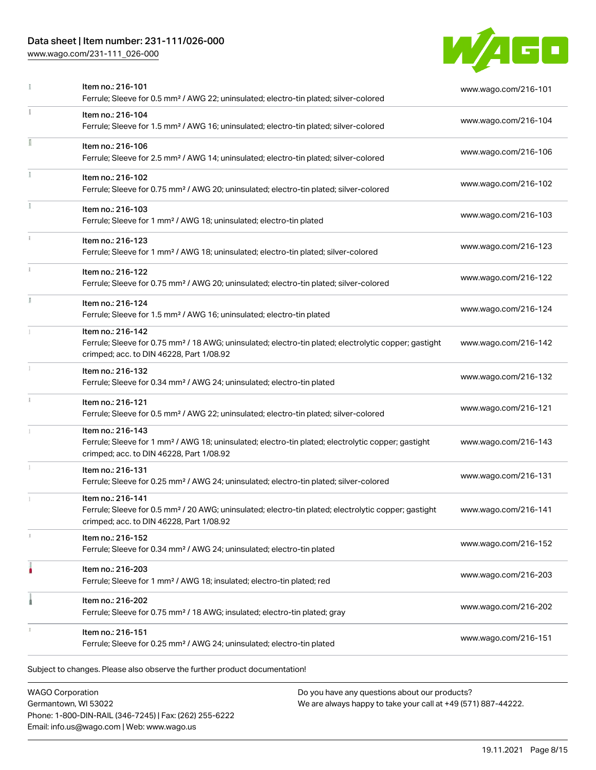[www.wago.com/231-111\\_026-000](http://www.wago.com/231-111_026-000)



|               | Item no.: 216-101<br>Ferrule; Sleeve for 0.5 mm <sup>2</sup> / AWG 22; uninsulated; electro-tin plated; silver-colored                                                             | www.wago.com/216-101 |
|---------------|------------------------------------------------------------------------------------------------------------------------------------------------------------------------------------|----------------------|
|               | Item no.: 216-104<br>Ferrule; Sleeve for 1.5 mm <sup>2</sup> / AWG 16; uninsulated; electro-tin plated; silver-colored                                                             | www.wago.com/216-104 |
|               | Item no.: 216-106<br>Ferrule; Sleeve for 2.5 mm <sup>2</sup> / AWG 14; uninsulated; electro-tin plated; silver-colored                                                             | www.wago.com/216-106 |
|               | Item no.: 216-102<br>Ferrule; Sleeve for 0.75 mm <sup>2</sup> / AWG 20; uninsulated; electro-tin plated; silver-colored                                                            | www.wago.com/216-102 |
|               | Item no.: 216-103<br>Ferrule; Sleeve for 1 mm <sup>2</sup> / AWG 18; uninsulated; electro-tin plated                                                                               | www.wago.com/216-103 |
|               | Item no.: 216-123<br>Ferrule; Sleeve for 1 mm <sup>2</sup> / AWG 18; uninsulated; electro-tin plated; silver-colored                                                               | www.wago.com/216-123 |
| $\frac{1}{2}$ | Item no.: 216-122<br>Ferrule; Sleeve for 0.75 mm <sup>2</sup> / AWG 20; uninsulated; electro-tin plated; silver-colored                                                            | www.wago.com/216-122 |
| I.            | Item no.: 216-124<br>Ferrule; Sleeve for 1.5 mm <sup>2</sup> / AWG 16; uninsulated; electro-tin plated                                                                             | www.wago.com/216-124 |
|               | Item no.: 216-142<br>Ferrule; Sleeve for 0.75 mm <sup>2</sup> / 18 AWG; uninsulated; electro-tin plated; electrolytic copper; gastight<br>crimped; acc. to DIN 46228, Part 1/08.92 | www.wago.com/216-142 |
| I.            | Item no.: 216-132<br>Ferrule; Sleeve for 0.34 mm <sup>2</sup> / AWG 24; uninsulated; electro-tin plated                                                                            | www.wago.com/216-132 |
| ī.            | Item no.: 216-121<br>Ferrule; Sleeve for 0.5 mm <sup>2</sup> / AWG 22; uninsulated; electro-tin plated; silver-colored                                                             | www.wago.com/216-121 |
|               | Item no.: 216-143<br>Ferrule; Sleeve for 1 mm <sup>2</sup> / AWG 18; uninsulated; electro-tin plated; electrolytic copper; gastight<br>crimped; acc. to DIN 46228, Part 1/08.92    | www.wago.com/216-143 |
| 1             | Item no.: 216-131<br>Ferrule; Sleeve for 0.25 mm <sup>2</sup> / AWG 24; uninsulated; electro-tin plated; silver-colored                                                            | www.wago.com/216-131 |
|               | Item no.: 216-141<br>Ferrule; Sleeve for 0.5 mm <sup>2</sup> / 20 AWG; uninsulated; electro-tin plated; electrolytic copper; gastight<br>crimped; acc. to DIN 46228, Part 1/08.92  | www.wago.com/216-141 |
|               | Item no.: 216-152<br>Ferrule; Sleeve for 0.34 mm <sup>2</sup> / AWG 24; uninsulated; electro-tin plated                                                                            | www.wago.com/216-152 |
|               | Item no.: 216-203<br>Ferrule; Sleeve for 1 mm <sup>2</sup> / AWG 18; insulated; electro-tin plated; red                                                                            | www.wago.com/216-203 |
|               | Item no.: 216-202<br>Ferrule; Sleeve for 0.75 mm <sup>2</sup> / 18 AWG; insulated; electro-tin plated; gray                                                                        | www.wago.com/216-202 |
|               | Item no.: 216-151<br>Ferrule; Sleeve for 0.25 mm <sup>2</sup> / AWG 24; uninsulated; electro-tin plated                                                                            | www.wago.com/216-151 |

WAGO Corporation Germantown, WI 53022 Phone: 1-800-DIN-RAIL (346-7245) | Fax: (262) 255-6222 Email: info.us@wago.com | Web: www.wago.us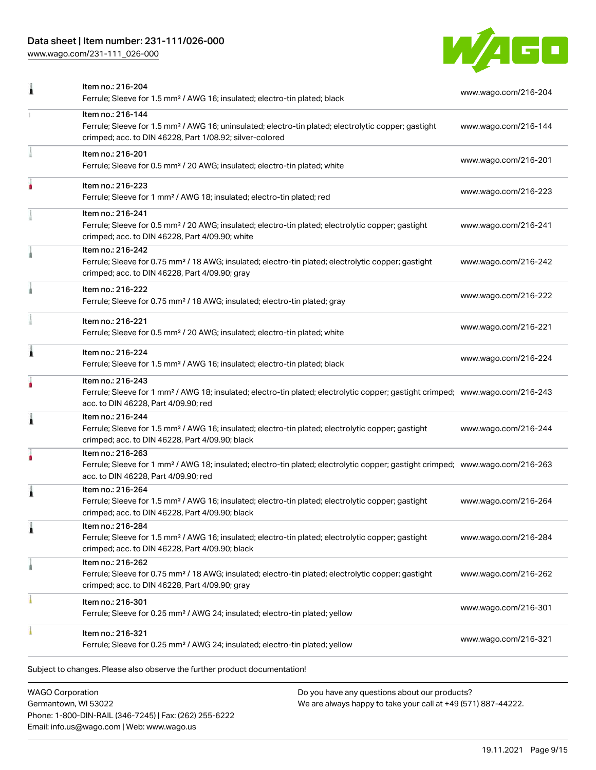[www.wago.com/231-111\\_026-000](http://www.wago.com/231-111_026-000)



| Item no.: 216-204<br>Ferrule; Sleeve for 1.5 mm <sup>2</sup> / AWG 16; insulated; electro-tin plated; black                                                                                             | www.wago.com/216-204 |
|---------------------------------------------------------------------------------------------------------------------------------------------------------------------------------------------------------|----------------------|
| Item no.: 216-144<br>Ferrule; Sleeve for 1.5 mm <sup>2</sup> / AWG 16; uninsulated; electro-tin plated; electrolytic copper; gastight<br>crimped; acc. to DIN 46228, Part 1/08.92; silver-colored       | www.wago.com/216-144 |
| Item no.: 216-201<br>Ferrule; Sleeve for 0.5 mm <sup>2</sup> / 20 AWG; insulated; electro-tin plated; white                                                                                             | www.wago.com/216-201 |
| Item no.: 216-223<br>Ferrule; Sleeve for 1 mm <sup>2</sup> / AWG 18; insulated; electro-tin plated; red                                                                                                 | www.wago.com/216-223 |
| Item no.: 216-241<br>Ferrule; Sleeve for 0.5 mm <sup>2</sup> / 20 AWG; insulated; electro-tin plated; electrolytic copper; gastight<br>crimped; acc. to DIN 46228, Part 4/09.90; white                  | www.wago.com/216-241 |
| Item no.: 216-242<br>Ferrule; Sleeve for 0.75 mm <sup>2</sup> / 18 AWG; insulated; electro-tin plated; electrolytic copper; gastight<br>crimped; acc. to DIN 46228, Part 4/09.90; gray                  | www.wago.com/216-242 |
| Item no.: 216-222<br>Ferrule; Sleeve for 0.75 mm <sup>2</sup> / 18 AWG; insulated; electro-tin plated; gray                                                                                             | www.wago.com/216-222 |
| Item no.: 216-221<br>Ferrule; Sleeve for 0.5 mm <sup>2</sup> / 20 AWG; insulated; electro-tin plated; white                                                                                             | www.wago.com/216-221 |
| Item no.: 216-224<br>Ferrule; Sleeve for 1.5 mm <sup>2</sup> / AWG 16; insulated; electro-tin plated; black                                                                                             | www.wago.com/216-224 |
| Item no.: 216-243<br>Ferrule; Sleeve for 1 mm <sup>2</sup> / AWG 18; insulated; electro-tin plated; electrolytic copper; gastight crimped; www.wago.com/216-243<br>acc. to DIN 46228, Part 4/09.90; red |                      |
| Item no.: 216-244<br>Ferrule; Sleeve for 1.5 mm <sup>2</sup> / AWG 16; insulated; electro-tin plated; electrolytic copper; gastight<br>crimped; acc. to DIN 46228, Part 4/09.90; black                  | www.wago.com/216-244 |
| Item no.: 216-263<br>Ferrule; Sleeve for 1 mm <sup>2</sup> / AWG 18; insulated; electro-tin plated; electrolytic copper; gastight crimped; www.wago.com/216-263<br>acc. to DIN 46228, Part 4/09.90; red |                      |
| Item no.: 216-264<br>Ferrule; Sleeve for 1.5 mm <sup>2</sup> / AWG 16; insulated; electro-tin plated; electrolytic copper; gastight<br>crimped; acc. to DIN 46228, Part 4/09.90; black                  | www.wago.com/216-264 |
| Item no.: 216-284<br>Ferrule; Sleeve for 1.5 mm <sup>2</sup> / AWG 16; insulated; electro-tin plated; electrolytic copper; gastight<br>crimped; acc. to DIN 46228, Part 4/09.90; black                  | www.wago.com/216-284 |
| Item no.: 216-262<br>Ferrule; Sleeve for 0.75 mm <sup>2</sup> / 18 AWG; insulated; electro-tin plated; electrolytic copper; gastight<br>crimped; acc. to DIN 46228, Part 4/09.90; gray                  | www.wago.com/216-262 |
| Item no.: 216-301<br>Ferrule; Sleeve for 0.25 mm <sup>2</sup> / AWG 24; insulated; electro-tin plated; yellow                                                                                           | www.wago.com/216-301 |
| Item no.: 216-321<br>Ferrule; Sleeve for 0.25 mm <sup>2</sup> / AWG 24; insulated; electro-tin plated; yellow                                                                                           | www.wago.com/216-321 |
|                                                                                                                                                                                                         |                      |

WAGO Corporation Germantown, WI 53022 Phone: 1-800-DIN-RAIL (346-7245) | Fax: (262) 255-6222 Email: info.us@wago.com | Web: www.wago.us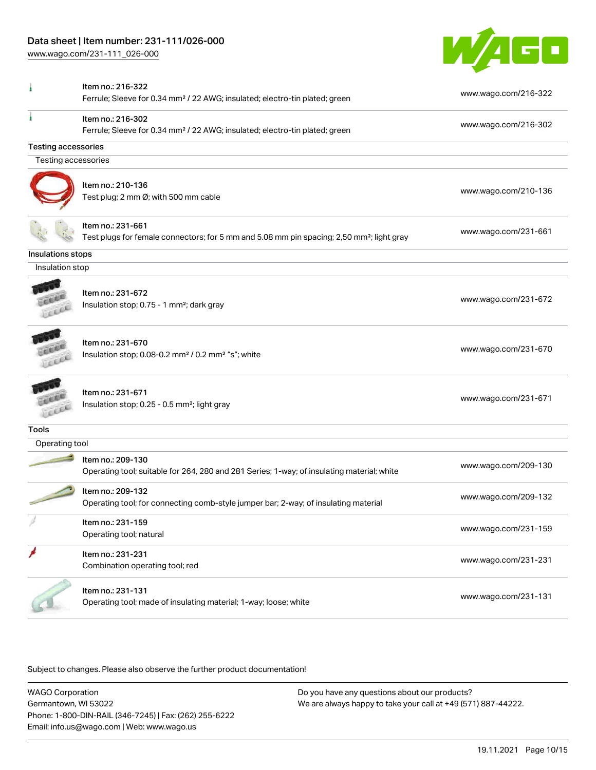[www.wago.com/231-111\\_026-000](http://www.wago.com/231-111_026-000)



|                                | Item no.: 216-322                                                                                        |                      |
|--------------------------------|----------------------------------------------------------------------------------------------------------|----------------------|
|                                | Ferrule; Sleeve for 0.34 mm <sup>2</sup> / 22 AWG; insulated; electro-tin plated; green                  | www.wago.com/216-322 |
|                                | Item no.: 216-302                                                                                        | www.wago.com/216-302 |
|                                | Ferrule; Sleeve for 0.34 mm <sup>2</sup> / 22 AWG; insulated; electro-tin plated; green                  |                      |
| <b>Testing accessories</b>     |                                                                                                          |                      |
| Testing accessories            |                                                                                                          |                      |
|                                | Item no.: 210-136                                                                                        |                      |
|                                | Test plug; 2 mm Ø; with 500 mm cable                                                                     | www.wago.com/210-136 |
|                                |                                                                                                          |                      |
|                                | Item no.: 231-661                                                                                        |                      |
|                                | Test plugs for female connectors; for 5 mm and 5.08 mm pin spacing; 2,50 mm <sup>2</sup> ; light gray    | www.wago.com/231-661 |
| Insulations stops              |                                                                                                          |                      |
| Insulation stop                |                                                                                                          |                      |
|                                |                                                                                                          |                      |
|                                | Item no.: 231-672                                                                                        | www.wago.com/231-672 |
|                                | Insulation stop; 0.75 - 1 mm <sup>2</sup> ; dark gray                                                    |                      |
|                                | Item no.: 231-670                                                                                        |                      |
|                                | Insulation stop; 0.08-0.2 mm <sup>2</sup> / 0.2 mm <sup>2</sup> "s"; white                               | www.wago.com/231-670 |
|                                |                                                                                                          |                      |
|                                | Item no.: 231-671                                                                                        |                      |
|                                | Insulation stop; 0.25 - 0.5 mm <sup>2</sup> ; light gray                                                 | www.wago.com/231-671 |
|                                |                                                                                                          |                      |
| <b>Tools</b><br>Operating tool |                                                                                                          |                      |
|                                | Item no.: 209-130                                                                                        |                      |
|                                | Operating tool; suitable for 264, 280 and 281 Series; 1-way; of insulating material; white               | www.wago.com/209-130 |
|                                |                                                                                                          |                      |
|                                | Item no.: 209-132<br>Operating tool; for connecting comb-style jumper bar; 2-way; of insulating material | www.wago.com/209-132 |
|                                |                                                                                                          |                      |
|                                | Item no.: 231-159                                                                                        | www.wago.com/231-159 |
|                                | Operating tool; natural                                                                                  |                      |
|                                | Item no.: 231-231                                                                                        | www.wago.com/231-231 |
|                                | Combination operating tool; red                                                                          |                      |
|                                | Item no.: 231-131                                                                                        |                      |
|                                | Operating tool; made of insulating material; 1-way; loose; white                                         | www.wago.com/231-131 |
|                                |                                                                                                          |                      |

Subject to changes. Please also observe the further product documentation!

WAGO Corporation Germantown, WI 53022 Phone: 1-800-DIN-RAIL (346-7245) | Fax: (262) 255-6222 Email: info.us@wago.com | Web: www.wago.us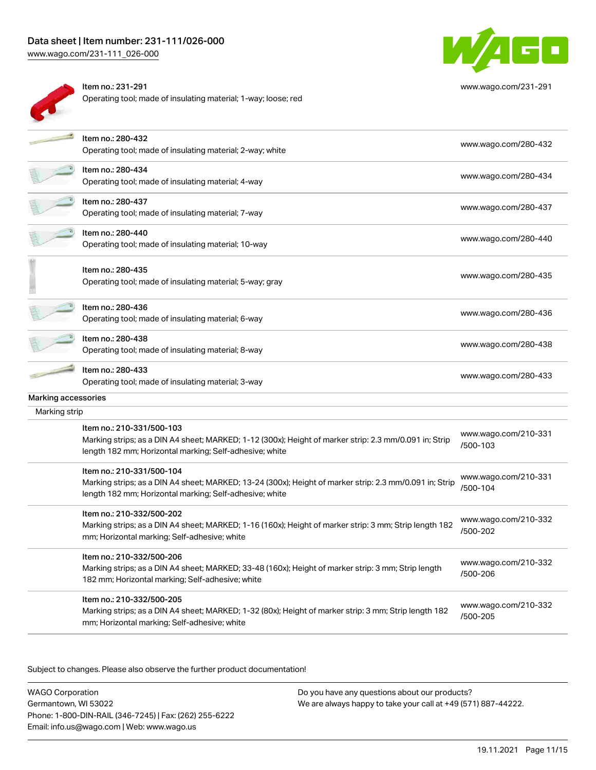[www.wago.com/231-111\\_026-000](http://www.wago.com/231-111_026-000)



| ltem no.: 231-291                                              |  |
|----------------------------------------------------------------|--|
| Operating tool; made of insulating material; 1-way; loose; red |  |



[www.wago.com/231-291](http://www.wago.com/231-291)

|                     | Item no.: 280-432<br>Operating tool; made of insulating material; 2-way; white                                                                                                                  | www.wago.com/280-432             |
|---------------------|-------------------------------------------------------------------------------------------------------------------------------------------------------------------------------------------------|----------------------------------|
|                     | Item no.: 280-434<br>Operating tool; made of insulating material; 4-way                                                                                                                         | www.wago.com/280-434             |
|                     | Item no.: 280-437<br>Operating tool; made of insulating material; 7-way                                                                                                                         | www.wago.com/280-437             |
|                     | Item no.: 280-440<br>Operating tool; made of insulating material; 10-way                                                                                                                        | www.wago.com/280-440             |
|                     | Item no.: 280-435<br>Operating tool; made of insulating material; 5-way; gray                                                                                                                   | www.wago.com/280-435             |
|                     | Item no.: 280-436<br>Operating tool; made of insulating material; 6-way                                                                                                                         | www.wago.com/280-436             |
|                     | Item no.: 280-438<br>Operating tool; made of insulating material; 8-way                                                                                                                         | www.wago.com/280-438             |
|                     | Item no.: 280-433<br>Operating tool; made of insulating material; 3-way                                                                                                                         | www.wago.com/280-433             |
| Marking accessories |                                                                                                                                                                                                 |                                  |
| Marking strip       |                                                                                                                                                                                                 |                                  |
|                     | Item no.: 210-331/500-103<br>Marking strips; as a DIN A4 sheet; MARKED; 1-12 (300x); Height of marker strip: 2.3 mm/0.091 in; Strip<br>length 182 mm; Horizontal marking; Self-adhesive; white  | www.wago.com/210-331<br>/500-103 |
|                     | Item no.: 210-331/500-104<br>Marking strips; as a DIN A4 sheet; MARKED; 13-24 (300x); Height of marker strip: 2.3 mm/0.091 in; Strip<br>length 182 mm; Horizontal marking; Self-adhesive; white | www.wago.com/210-331<br>/500-104 |
|                     | Item no.: 210-332/500-202<br>Marking strips; as a DIN A4 sheet; MARKED; 1-16 (160x); Height of marker strip: 3 mm; Strip length 182<br>mm; Horizontal marking; Self-adhesive; white             | www.wago.com/210-332<br>/500-202 |
|                     | Item no.: 210-332/500-206<br>Marking strips; as a DIN A4 sheet; MARKED; 33-48 (160x); Height of marker strip: 3 mm; Strip length<br>182 mm; Horizontal marking; Self-adhesive; white            | www.wago.com/210-332<br>/500-206 |
|                     | Item no.: 210-332/500-205<br>Marking strips; as a DIN A4 sheet; MARKED; 1-32 (80x); Height of marker strip: 3 mm; Strip length 182<br>mm; Horizontal marking; Self-adhesive; white              | www.wago.com/210-332<br>/500-205 |

Subject to changes. Please also observe the further product documentation!

WAGO Corporation Germantown, WI 53022 Phone: 1-800-DIN-RAIL (346-7245) | Fax: (262) 255-6222 Email: info.us@wago.com | Web: www.wago.us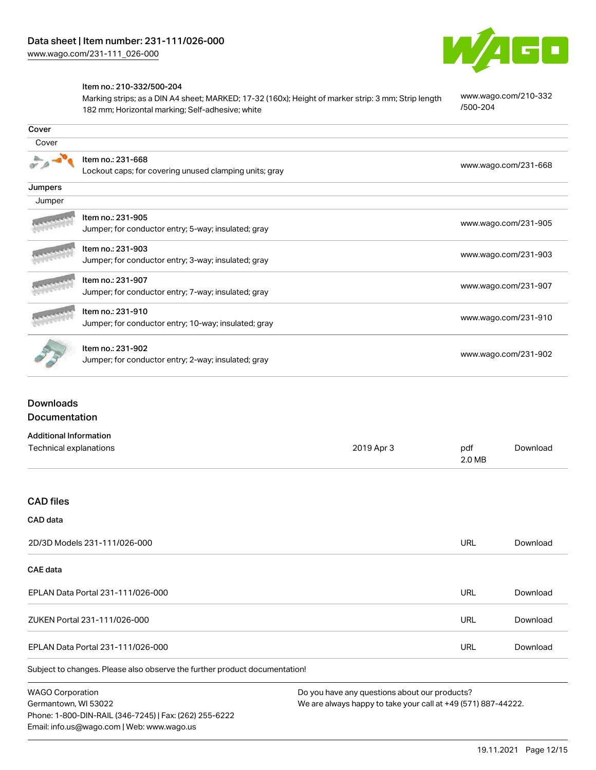

#### Item no.: 210-332/500-204

Marking strips; as a DIN A4 sheet; MARKED; 17-32 (160x); Height of marker strip: 3 mm; Strip length 182 mm; Horizontal marking; Self-adhesive; white

[www.wago.com/210-332](http://www.wago.com/210-332/500-204) [/500-204](http://www.wago.com/210-332/500-204)

| Cover   |                                                                             |                      |
|---------|-----------------------------------------------------------------------------|----------------------|
| Cover   |                                                                             |                      |
|         | Item no.: 231-668<br>Lockout caps; for covering unused clamping units; gray | www.wago.com/231-668 |
| Jumpers |                                                                             |                      |
| Jumper  |                                                                             |                      |
|         | Item no.: 231-905<br>Jumper; for conductor entry; 5-way; insulated; gray    | www.wago.com/231-905 |
|         | Item no.: 231-903<br>Jumper; for conductor entry; 3-way; insulated; gray    | www.wago.com/231-903 |
|         | Item no.: 231-907<br>Jumper; for conductor entry; 7-way; insulated; gray    | www.wago.com/231-907 |
|         | Item no.: 231-910<br>Jumper; for conductor entry; 10-way; insulated; gray   | www.wago.com/231-910 |
|         | Item no.: 231-902<br>Jumper; for conductor entry; 2-way; insulated; gray    | www.wago.com/231-902 |

## Downloads Documentation

| <b>Additional Information</b>                                              |            |               |          |
|----------------------------------------------------------------------------|------------|---------------|----------|
| Technical explanations                                                     | 2019 Apr 3 | pdf<br>2.0 MB | Download |
|                                                                            |            |               |          |
| <b>CAD files</b>                                                           |            |               |          |
| CAD data                                                                   |            |               |          |
| 2D/3D Models 231-111/026-000                                               |            | <b>URL</b>    | Download |
| CAE data                                                                   |            |               |          |
| EPLAN Data Portal 231-111/026-000                                          |            | <b>URL</b>    | Download |
| ZUKEN Portal 231-111/026-000                                               |            | <b>URL</b>    | Download |
| EPLAN Data Portal 231-111/026-000                                          |            | <b>URL</b>    | Download |
| Subject to changes. Please also observe the further product documentation! |            |               |          |

WAGO Corporation Germantown, WI 53022 Phone: 1-800-DIN-RAIL (346-7245) | Fax: (262) 255-6222 Email: info.us@wago.com | Web: www.wago.us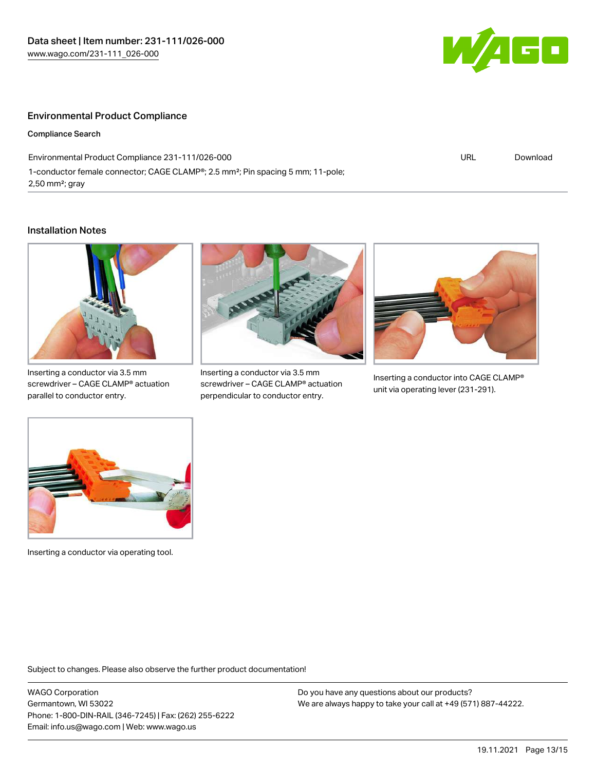

#### Environmental Product Compliance

Compliance Search

Environmental Product Compliance 231-111/026-000 1-conductor female connector; CAGE CLAMP®; 2.5 mm²; Pin spacing 5 mm; 11-pole; 2,50 mm²; gray



#### Installation Notes



Inserting a conductor via 3.5 mm screwdriver – CAGE CLAMP® actuation parallel to conductor entry.



Inserting a conductor via 3.5 mm screwdriver – CAGE CLAMP® actuation perpendicular to conductor entry.



Inserting a conductor into CAGE CLAMP® unit via operating lever (231-291).



Inserting a conductor via operating tool.

Subject to changes. Please also observe the further product documentation!

WAGO Corporation Germantown, WI 53022 Phone: 1-800-DIN-RAIL (346-7245) | Fax: (262) 255-6222 Email: info.us@wago.com | Web: www.wago.us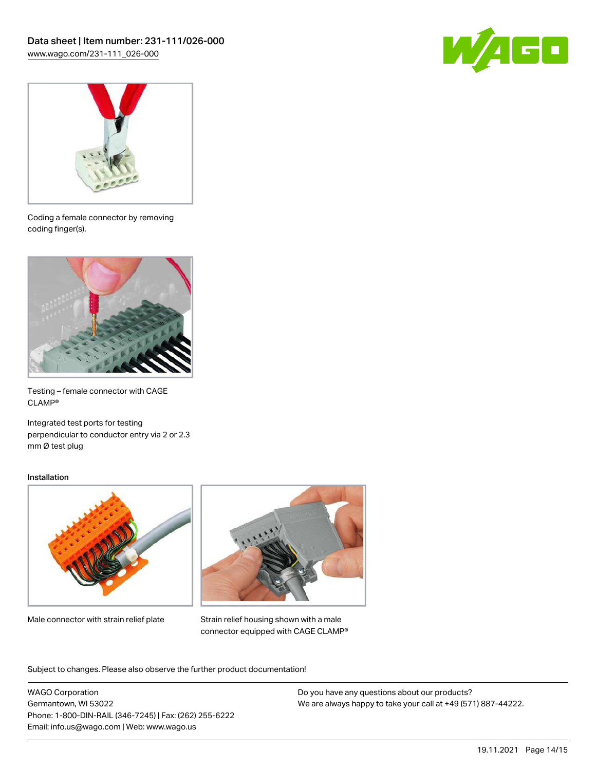



Coding a female connector by removing coding finger(s).



Testing – female connector with CAGE CLAMP®

Integrated test ports for testing perpendicular to conductor entry via 2 or 2.3 mm Ø test plug

#### Installation



Male connector with strain relief plate



Strain relief housing shown with a male connector equipped with CAGE CLAMP®

Subject to changes. Please also observe the further product documentation!

WAGO Corporation Germantown, WI 53022 Phone: 1-800-DIN-RAIL (346-7245) | Fax: (262) 255-6222 Email: info.us@wago.com | Web: www.wago.us